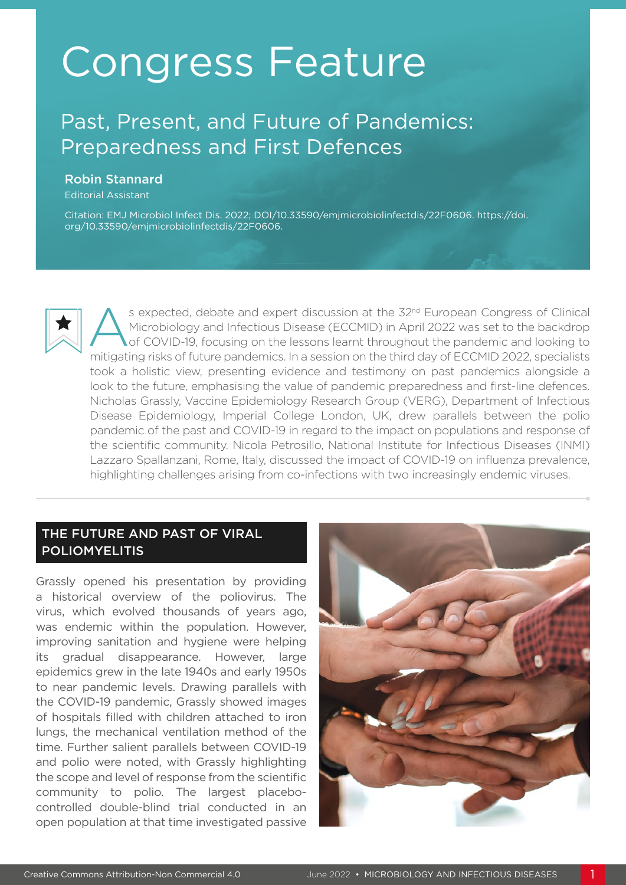# Congress Feature

## Past, Present, and Future of Pandemics: Preparedness and First Defences

#### Robin Stannard

Editorial Assistant

Citation: EMJ Microbiol Infect Dis. 2022; DOI/10.33590/emjmicrobiolinfectdis/22F0606. https://doi. org/10.33590/emjmicrobiolinfectdis/22F0606.

s expected, debate and expert discussion at the 32<sup>nd</sup> European Congress of Clinical Microbiology and Infectious Disease (ECCMID) in April 2022 was set to the backdrop of COVID-19, focusing on the lessons learnt throughout the pandemic and looking to mitigating risks of future pandemics. In a session on the third day of ECCMID 2022, specialists took a holistic view, presenting evidence and testimony on past pandemics alongside a look to the future, emphasising the value of pandemic preparedness and first-line defences. Nicholas Grassly, Vaccine Epidemiology Research Group (VERG), Department of Infectious Disease Epidemiology, Imperial College London, UK, drew parallels between the polio pandemic of the past and COVID-19 in regard to the impact on populations and response of the scientific community. Nicola Petrosillo, National Institute for Infectious Diseases (INMI) Lazzaro Spallanzani, Rome, Italy, discussed the impact of COVID-19 on influenza prevalence, highlighting challenges arising from co-infections with two increasingly endemic viruses.

#### THE FUTURE AND PAST OF VIRAL **POLIOMYELITIS**

Grassly opened his presentation by providing a historical overview of the poliovirus. The virus, which evolved thousands of years ago, was endemic within the population. However, improving sanitation and hygiene were helping its gradual disappearance. However, large epidemics grew in the late 1940s and early 1950s to near pandemic levels. Drawing parallels with the COVID-19 pandemic, Grassly showed images of hospitals filled with children attached to iron lungs, the mechanical ventilation method of the time. Further salient parallels between COVID-19 and polio were noted, with Grassly highlighting the scope and level of response from the scientific community to polio. The largest placebocontrolled double-blind trial conducted in an open population at that time investigated passive

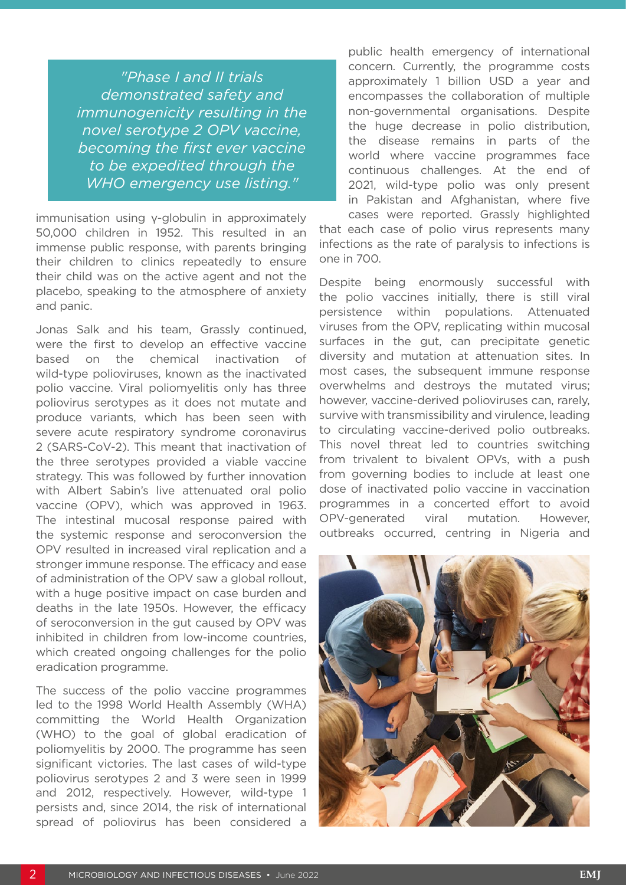*"Phase I and II trials demonstrated safety and immunogenicity resulting in the novel serotype 2 OPV vaccine, becoming the first ever vaccine to be expedited through the WHO emergency use listing."*

immunisation using γ-globulin in approximately 50,000 children in 1952. This resulted in an immense public response, with parents bringing their children to clinics repeatedly to ensure their child was on the active agent and not the placebo, speaking to the atmosphere of anxiety and panic.

Jonas Salk and his team, Grassly continued, were the first to develop an effective vaccine based on the chemical inactivation of wild-type polioviruses, known as the inactivated polio vaccine. Viral poliomyelitis only has three poliovirus serotypes as it does not mutate and produce variants, which has been seen with severe acute respiratory syndrome coronavirus 2 (SARS-CoV-2). This meant that inactivation of the three serotypes provided a viable vaccine strategy. This was followed by further innovation with Albert Sabin's live attenuated oral polio vaccine (OPV), which was approved in 1963. The intestinal mucosal response paired with the systemic response and seroconversion the OPV resulted in increased viral replication and a stronger immune response. The efficacy and ease of administration of the OPV saw a global rollout, with a huge positive impact on case burden and deaths in the late 1950s. However, the efficacy of seroconversion in the gut caused by OPV was inhibited in children from low-income countries, which created ongoing challenges for the polio eradication programme.

The success of the polio vaccine programmes led to the 1998 World Health Assembly (WHA) committing the World Health Organization (WHO) to the goal of global eradication of poliomyelitis by 2000. The programme has seen significant victories. The last cases of wild-type poliovirus serotypes 2 and 3 were seen in 1999 and 2012, respectively. However, wild-type 1 persists and, since 2014, the risk of international spread of poliovirus has been considered a

public health emergency of international concern. Currently, the programme costs approximately 1 billion USD a year and encompasses the collaboration of multiple non-governmental organisations. Despite the huge decrease in polio distribution, the disease remains in parts of the world where vaccine programmes face continuous challenges. At the end of 2021, wild-type polio was only present in Pakistan and Afghanistan, where five

cases were reported. Grassly highlighted that each case of polio virus represents many infections as the rate of paralysis to infections is one in 700.

Despite being enormously successful with the polio vaccines initially, there is still viral persistence within populations. Attenuated viruses from the OPV, replicating within mucosal surfaces in the gut, can precipitate genetic diversity and mutation at attenuation sites. In most cases, the subsequent immune response overwhelms and destroys the mutated virus; however, vaccine-derived polioviruses can, rarely, survive with transmissibility and virulence, leading to circulating vaccine-derived polio outbreaks. This novel threat led to countries switching from trivalent to bivalent OPVs, with a push from governing bodies to include at least one dose of inactivated polio vaccine in vaccination programmes in a concerted effort to avoid OPV-generated viral mutation. However, outbreaks occurred, centring in Nigeria and

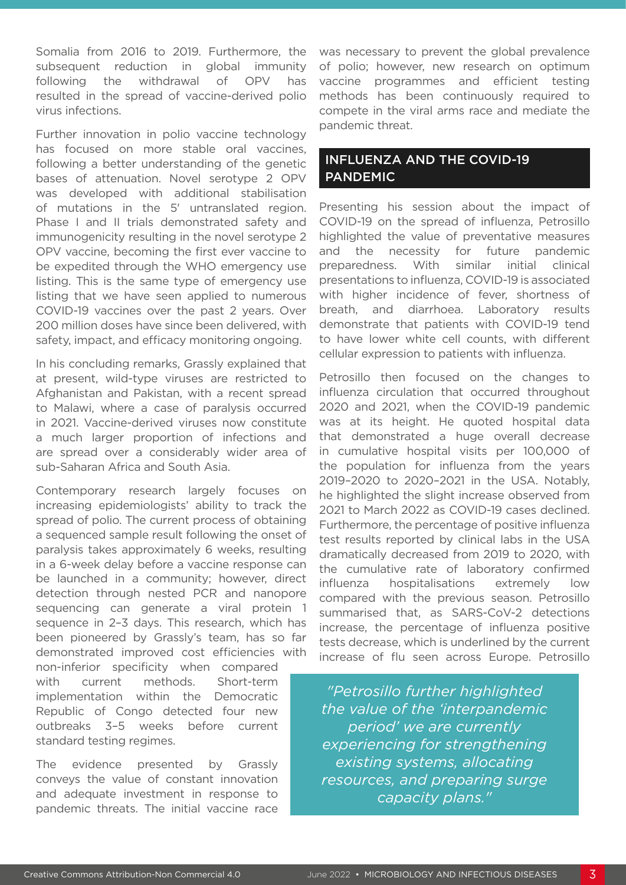Somalia from 2016 to 2019. Furthermore, the subsequent reduction in global immunity following the withdrawal of OPV has resulted in the spread of vaccine-derived polio virus infections.

Further innovation in polio vaccine technology has focused on more stable oral vaccines, following a better understanding of the genetic bases of attenuation. Novel serotype 2 OPV was developed with additional stabilisation of mutations in the 5' untranslated region. Phase I and II trials demonstrated safety and immunogenicity resulting in the novel serotype 2 OPV vaccine, becoming the first ever vaccine to be expedited through the WHO emergency use listing. This is the same type of emergency use listing that we have seen applied to numerous COVID-19 vaccines over the past 2 years. Over 200 million doses have since been delivered, with safety, impact, and efficacy monitoring ongoing.

In his concluding remarks, Grassly explained that at present, wild-type viruses are restricted to Afghanistan and Pakistan, with a recent spread to Malawi, where a case of paralysis occurred in 2021. Vaccine-derived viruses now constitute a much larger proportion of infections and are spread over a considerably wider area of sub-Saharan Africa and South Asia.

Contemporary research largely focuses on increasing epidemiologists' ability to track the spread of polio. The current process of obtaining a sequenced sample result following the onset of paralysis takes approximately 6 weeks, resulting in a 6-week delay before a vaccine response can be launched in a community; however, direct detection through nested PCR and nanopore sequencing can generate a viral protein 1 sequence in 2–3 days. This research, which has been pioneered by Grassly's team, has so far demonstrated improved cost efficiencies with

non-inferior specificity when compared with current methods. Short-term implementation within the Democratic Republic of Congo detected four new outbreaks 3–5 weeks before current standard testing regimes.

The evidence presented by Grassly conveys the value of constant innovation and adequate investment in response to pandemic threats. The initial vaccine race

was necessary to prevent the global prevalence of polio; however, new research on optimum vaccine programmes and efficient testing methods has been continuously required to compete in the viral arms race and mediate the pandemic threat.

### INFLUENZA AND THE COVID-19 PANDEMIC

Presenting his session about the impact of COVID-19 on the spread of influenza, Petrosillo highlighted the value of preventative measures and the necessity for future pandemic preparedness. With similar initial clinical presentations to influenza, COVID-19 is associated with higher incidence of fever, shortness of breath, and diarrhoea. Laboratory results demonstrate that patients with COVID-19 tend to have lower white cell counts, with different cellular expression to patients with influenza.

Petrosillo then focused on the changes to influenza circulation that occurred throughout 2020 and 2021, when the COVID-19 pandemic was at its height. He quoted hospital data that demonstrated a huge overall decrease in cumulative hospital visits per 100,000 of the population for influenza from the years 2019–2020 to 2020–2021 in the USA. Notably, he highlighted the slight increase observed from 2021 to March 2022 as COVID-19 cases declined. Furthermore, the percentage of positive influenza test results reported by clinical labs in the USA dramatically decreased from 2019 to 2020, with the cumulative rate of laboratory confirmed influenza hospitalisations extremely low compared with the previous season. Petrosillo summarised that, as SARS-CoV-2 detections increase, the percentage of influenza positive tests decrease, which is underlined by the current increase of flu seen across Europe. Petrosillo

*"Petrosillo further highlighted the value of the 'interpandemic period' we are currently experiencing for strengthening existing systems, allocating resources, and preparing surge capacity plans."*